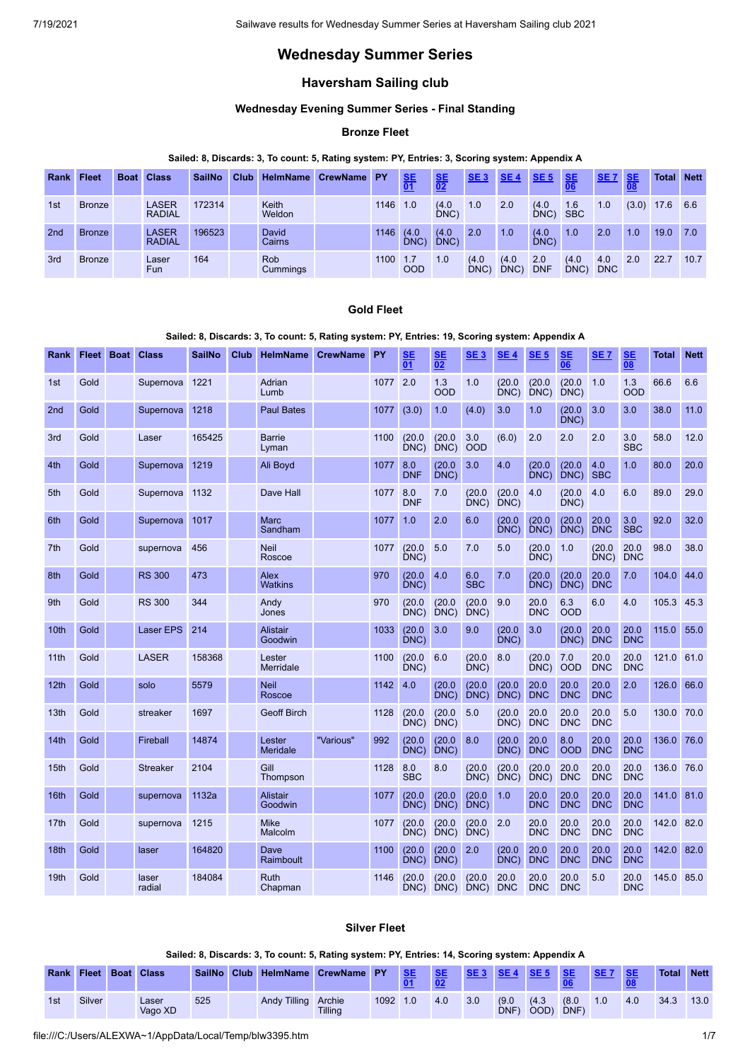# **Wednesday Summer Series**

## **Haversham Sailing club**

## **Wednesday Evening Summer Series - Final Standing**

## **Bronze Fleet**

## **Sailed: 8, Discards: 3, To count: 5, Rating system: PY, Entries: 3, Scoring system: Appendix A**

| Rank | <b>Fleet</b>  | <b>Boat Class</b>             | <b>SailNo</b> | Club | <b>HelmName</b>               | <b>CrewName</b> | <b>PY</b> | $rac{\text{SE}}{01}$ | $rac{\text{SE}}{02}$ | SE <sub>3</sub> | SE <sub>4</sub> | SE <sub>5</sub>   | <b>SE</b>         | <b>SE7</b>        | <b>SE</b> | <b>Total</b> | <b>Nett</b> |
|------|---------------|-------------------------------|---------------|------|-------------------------------|-----------------|-----------|----------------------|----------------------|-----------------|-----------------|-------------------|-------------------|-------------------|-----------|--------------|-------------|
| 1st  | <b>Bronze</b> | <b>LASER</b><br><b>RADIAL</b> | 172314        |      | Keith<br>Weldon               |                 | 1146      | 1.0                  | (4.0)<br>DNC)        | 1.0             | 2.0             | (4.0)<br>DNC)     | 1.6<br><b>SBC</b> | 1.0               | (3.0)     | 17.6         | 6.6         |
| 2nd  | <b>Bronze</b> | LASER<br><b>RADIAL</b>        | 196523        |      | David<br>Cairns               |                 | 1146      | (4.0)<br>DNC)        | (4.0)<br>DNC         | 2.0             | 1.0             | (4.0)<br>$DNC$ )  | 1.0               | 2.0               | 1.0       | 19.0         | 7.0         |
| 3rd  | <b>Bronze</b> | Laser<br><b>Fun</b>           | 164           |      | <b>Rob</b><br><b>Cummings</b> |                 | 1100      | 1.7<br><b>OOD</b>    | 1.0                  | (4.0)<br>DNC    | (4.0)<br>DNC)   | 2.0<br><b>DNF</b> | (4.0)<br>DNC      | 4.0<br><b>DNC</b> | 2.0       | 22.7         | 10.7        |

## **Gold Fleet**

### **Sailed: 8, Discards: 3, To count: 5, Rating system: PY, Entries: 19, Scoring system: Appendix A**

| Rank             | Fleet Boat | <b>Class</b>     | <b>SailNo</b> | Club | <b>HelmName</b>            | <b>CrewName</b> | <b>PY</b> | SE<br>$\overline{01}$ | SE<br>$\overline{02}$ | SE <sub>3</sub>   | <b>SE4</b>         | SE <sub>5</sub>    | SE<br>$\overline{06}$ | SE <sub>7</sub>    | <b>SE</b><br>$\overline{08}$ | Total      | <b>Nett</b> |
|------------------|------------|------------------|---------------|------|----------------------------|-----------------|-----------|-----------------------|-----------------------|-------------------|--------------------|--------------------|-----------------------|--------------------|------------------------------|------------|-------------|
| 1st              | Gold       | Supernova        | 1221          |      | Adrian<br>Lumb             |                 | 1077      | 2.0                   | 1.3<br><b>OOD</b>     | 1.0               | (20.0)<br>DNC)     | (20.0)<br>DNC)     | (20.0)<br>DNC)        | 1.0                | 1.3<br><b>OOD</b>            | 66.6       | 6.6         |
| 2nd              | Gold       | Supernova        | 1218          |      | <b>Paul Bates</b>          |                 | 1077      | (3.0)                 | 1.0                   | (4.0)             | 3.0                | 1.0                | (20.0)<br>DNC         | 3.0                | 3.0                          | 38.0       | 11.0        |
| 3rd              | Gold       | Laser            | 165425        |      | <b>Barrie</b><br>Lyman     |                 | 1100      | (20.0)<br>DNC         | (20.0)<br>DNC         | 3.0<br><b>OOD</b> | (6.0)              | 2.0                | 2.0                   | 2.0                | 3.0<br><b>SBC</b>            | 58.0       | 12.0        |
| 4th              | Gold       | Supernova        | 1219          |      | Ali Boyd                   |                 | 1077      | 8.0<br><b>DNF</b>     | (20.0)<br>DNC)        | 3.0               | 4.0                | (20.0)<br>DNC)     | (20.0)<br>DNC)        | 4.0<br><b>SBC</b>  | 1.0                          | 80.0       | 20.0        |
| 5th              | Gold       | Supernova        | 1132          |      | Dave Hall                  |                 | 1077      | 8.0<br><b>DNF</b>     | 7.0                   | (20.0)<br>DNC)    | (20.0)<br>DNC)     | 4.0                | (20.0)<br>DNC)        | 4.0                | 6.0                          | 89.0       | 29.0        |
| 6th              | Gold       | Supernova        | 1017          |      | <b>Marc</b><br>Sandham     |                 | 1077      | 1.0                   | 2.0                   | 6.0               | (20.0)<br>DNC)     | (20.0)<br>DNC)     | (20.0)<br>DNC)        | 20.0<br><b>DNC</b> | 3.0<br><b>SBC</b>            | 92.0       | 32.0        |
| 7th              | Gold       | supernova        | 456           |      | <b>Neil</b><br>Roscoe      |                 | 1077      | (20.0)<br>DNC)        | 5.0                   | 7.0               | 5.0                | (20.0<br>DNC)      | 1.0                   | (20.0)<br>DNC)     | 20.0<br><b>DNC</b>           | 98.0       | 38.0        |
| 8th              | Gold       | <b>RS 300</b>    | 473           |      | Alex<br><b>Watkins</b>     |                 | 970       | (20.0)<br>DNC         | 4.0                   | 6.0<br><b>SBC</b> | 7.0                | (20.0)<br>DNC)     | (20.0)<br>DNC)        | 20.0<br><b>DNC</b> | 7.0                          | 104.0      | 44.0        |
| 9th              | Gold       | <b>RS 300</b>    | 344           |      | Andy<br>Jones              |                 | 970       | (20.0)<br>DNC)        | (20.0)<br>DNC)        | (20.0)<br>DNC)    | 9.0                | 20.0<br><b>DNC</b> | 6.3<br><b>OOD</b>     | 6.0                | 4.0                          | 105.3      | 45.3        |
| 10 <sub>th</sub> | Gold       | <b>Laser EPS</b> | 214           |      | <b>Alistair</b><br>Goodwin |                 | 1033      | (20.0)<br>DNC)        | 3.0                   | 9.0               | (20.0)<br>DNC)     | 3.0                | (20.0)<br>DNC)        | 20.0<br><b>DNC</b> | 20.0<br><b>DNC</b>           | 115.0      | 55.0        |
| 11 <sup>th</sup> | Gold       | <b>LASER</b>     | 158368        |      | Lester<br>Merridale        |                 | 1100      | (20.0)<br>DNC)        | 6.0                   | (20.0)<br>DNC)    | 8.0                | (20.0)<br>DNC)     | 7.0<br><b>OOD</b>     | 20.0<br><b>DNC</b> | 20.0<br><b>DNC</b>           | 121.0      | 61.0        |
| 12 <sub>th</sub> | Gold       | solo             | 5579          |      | <b>Neil</b><br>Roscoe      |                 | 1142      | 4.0                   | (20.0)<br>DNC)        | (20.0)<br>DNC)    | (20.0)<br>DNC)     | 20.0<br><b>DNC</b> | 20.0<br><b>DNC</b>    | 20.0<br><b>DNC</b> | 2.0                          | 126.0      | 66.0        |
| 13th             | Gold       | streaker         | 1697          |      | <b>Geoff Birch</b>         |                 | 1128      | (20.0)<br>DNC)        | (20.0)<br>DNC)        | 5.0               | (20.0)<br>DNC)     | 20.0<br><b>DNC</b> | 20.0<br><b>DNC</b>    | 20.0<br><b>DNC</b> | 5.0                          | 130.0      | 70.0        |
| 14th             | Gold       | Fireball         | 14874         |      | Lester<br>Meridale         | "Various"       | 992       | (20.0)<br>DNC)        | (20.0)<br>DNC)        | 8.0               | (20.0)<br>DNC)     | 20.0<br><b>DNC</b> | 8.0<br><b>OOD</b>     | 20.0<br><b>DNC</b> | 20.0<br><b>DNC</b>           | 136.0      | 76.0        |
| 15th             | Gold       | <b>Streaker</b>  | 2104          |      | Gill<br>Thompson           |                 | 1128      | 8.0<br><b>SBC</b>     | 8.0                   | (20.0)<br>DNC)    | (20.0)<br>DNC)     | (20.0)<br>DNC)     | 20.0<br><b>DNC</b>    | 20.0<br><b>DNC</b> | 20.0<br><b>DNC</b>           | 136.0      | 76.0        |
| 16th             | Gold       | supernova        | 1132a         |      | <b>Alistair</b><br>Goodwin |                 | 1077      | (20.0)<br>DNC)        | (20.0)<br>DNC)        | (20.0)<br>DNC)    | 1.0                | 20.0<br><b>DNC</b> | 20.0<br><b>DNC</b>    | 20.0<br><b>DNC</b> | 20.0<br><b>DNC</b>           | 141.0 81.0 |             |
| 17th             | Gold       | supernova        | 1215          |      | <b>Mike</b><br>Malcolm     |                 | 1077      | (20.0)<br>DNC)        | (20.0)<br>DNC         | (20.0)<br>$DNC$ ) | 2.0                | 20.0<br><b>DNC</b> | 20.0<br><b>DNC</b>    | 20.0<br><b>DNC</b> | 20.0<br><b>DNC</b>           | 142.0      | 82.0        |
| 18 <sub>th</sub> | Gold       | laser            | 164820        |      | Dave<br>Raimboult          |                 | 1100      | (20.0)<br>DNC)        | (20.0)<br>DNC)        | 2.0               | (20.0)<br>DNC)     | 20.0<br><b>DNC</b> | 20.0<br><b>DNC</b>    | 20.0<br><b>DNC</b> | 20.0<br><b>DNC</b>           | 142.0      | 82.0        |
| 19th             | Gold       | laser<br>radial  | 184084        |      | <b>Ruth</b><br>Chapman     |                 | 1146      | (20.0)<br>DNC)        | (20.0)<br>DNC)        | (20.0)<br>DNC)    | 20.0<br><b>DNC</b> | 20.0<br><b>DNC</b> | 20.0<br><b>DNC</b>    | 5.0                | 20.0<br><b>DNC</b>           | 145.0 85.0 |             |

### **Silver Fleet**

## **Sailed: 8, Discards: 3, To count: 5, Rating system: PY, Entries: 14, Scoring system: Appendix A**

|     |        | <b>Rank Fleet Boat Class</b> |     |                     | SailNo Club HelmName CrewName PY |      | <b>AISE</b> | <b>ALISE</b> | <b>SE3</b> SE4 SE5 |              |               | <b>SE</b>    |     | <b>SE</b> | <b>Total</b> | <b>Nett</b> |
|-----|--------|------------------------------|-----|---------------------|----------------------------------|------|-------------|--------------|--------------------|--------------|---------------|--------------|-----|-----------|--------------|-------------|
| 1st | Silver | .aser<br>Vago XD             | 525 | Andy Tilling Archie | <b>Tilling</b>                   | 1092 | 1.0         | 4.0          | 3.0                | (9.0)<br>DNF | (4.3)<br>OOD) | (8.0)<br>DNF | 1.0 | 4.0       | 34.3         | 13.0        |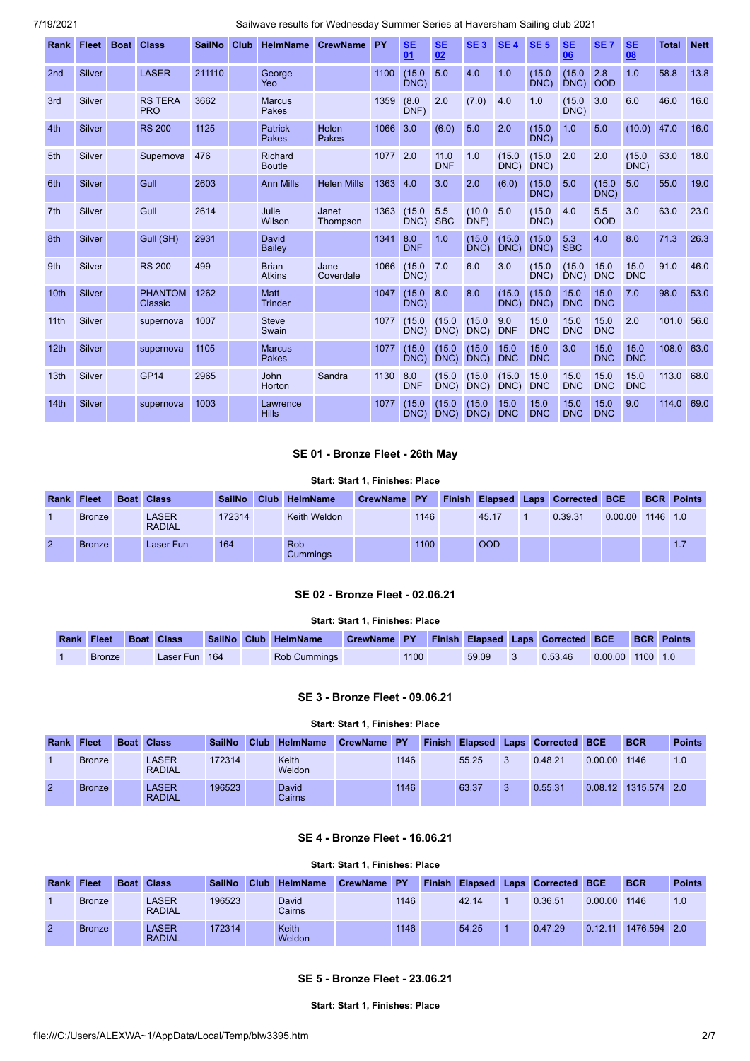| Rank             | <b>Fleet</b>  | <b>Boat</b> | <b>Class</b>                 | <b>SailNo</b> | Club | <b>HelmName</b>               | <b>CrewName</b>    | PY       | <b>SE</b><br>$\overline{01}$ | <b>SE</b><br>$\overline{02}$ | SE <sub>3</sub> | <b>SE4</b>         | <b>SE 5</b>        | <b>SE</b><br>06    | <b>SE7</b>         | <b>SE</b><br>$\overline{08}$ | <b>Total</b> | <b>Nett</b> |
|------------------|---------------|-------------|------------------------------|---------------|------|-------------------------------|--------------------|----------|------------------------------|------------------------------|-----------------|--------------------|--------------------|--------------------|--------------------|------------------------------|--------------|-------------|
| 2 <sub>nd</sub>  | Silver        |             | <b>LASER</b>                 | 211110        |      | George<br>Yeo                 |                    | 1100     | (15.0)<br>DNC)               | 5.0                          | 4.0             | 1.0                | (15.0)<br>DNC      | (15.0)<br>DNC)     | 2.8<br><b>OOD</b>  | 1.0                          | 58.8         | 13.8        |
| 3rd              | Silver        |             | <b>RS TERA</b><br><b>PRO</b> | 3662          |      | <b>Marcus</b><br>Pakes        |                    | 1359     | (8.0)<br>DNF)                | 2.0                          | (7.0)           | 4.0                | 1.0                | (15.0)<br>DNC)     | 3.0                | 6.0                          | 46.0         | 16.0        |
| 4th              | <b>Silver</b> |             | <b>RS 200</b>                | 1125          |      | <b>Patrick</b><br>Pakes       | Helen<br>Pakes     | 1066     | 3.0                          | (6.0)                        | 5.0             | 2.0                | (15.0)<br>DNC)     | 1.0                | 5.0                | (10.0)                       | 47.0         | 16.0        |
| 5th              | <b>Silver</b> |             | Supernova                    | 476           |      | Richard<br><b>Boutle</b>      |                    | 1077 2.0 |                              | 11.0<br><b>DNF</b>           | 1.0             | (15.0)<br>DNC)     | (15.0)<br>DNC)     | 2.0                | 2.0                | (15.0)<br>DNC                | 63.0         | 18.0        |
| 6th              | Silver        |             | Gull                         | 2603          |      | <b>Ann Mills</b>              | <b>Helen Mills</b> | 1363     | 4.0                          | 3.0                          | 2.0             | (6.0)              | (15.0)<br>DNC)     | 5.0                | (15.0)<br>DNC)     | 5.0                          | 55.0         | 19.0        |
| 7 <sub>th</sub>  | Silver        |             | Gull                         | 2614          |      | Julie<br>Wilson               | Janet<br>Thompson  | 1363     | (15.0)<br>DNC)               | 5.5<br><b>SBC</b>            | (10.0)<br>DNF)  | 5.0                | (15.0)<br>DNC      | 4.0                | 5.5<br><b>OOD</b>  | 3.0                          | 63.0         | 23.0        |
| 8th              | Silver        |             | Gull (SH)                    | 2931          |      | David<br>Bailey               |                    | 1341     | 8.0<br><b>DNF</b>            | 1.0                          | (15.0)<br>DNC   | (15.0)<br>DNC)     | (15.0)<br>DNC)     | 5.3<br><b>SBC</b>  | 4.0                | 8.0                          | 71.3         | 26.3        |
| 9th              | Silver        |             | <b>RS 200</b>                | 499           |      | <b>Brian</b><br><b>Atkins</b> | Jane<br>Coverdale  | 1066     | (15.0)<br>DNC                | 7.0                          | 6.0             | 3.0                | (15.0)<br>DNC)     | (15.0)<br>DNC)     | 15.0<br><b>DNC</b> | 15.0<br><b>DNC</b>           | 91.0         | 46.0        |
| 10th             | Silver        |             | <b>PHANTOM</b><br>Classic    | 1262          |      | <b>Matt</b><br><b>Trinder</b> |                    | 1047     | (15.0)<br>DNC)               | 8.0                          | 8.0             | (15.0)<br>DNC      | (15.0)<br>DNC)     | 15.0<br><b>DNC</b> | 15.0<br><b>DNC</b> | 7.0                          | 98.0         | 53.0        |
| 11th             | Silver        |             | supernova                    | 1007          |      | <b>Steve</b><br>Swain         |                    | 1077     | (15.0)<br>DNC)               | (15.0)<br>DNC)               | (15.0)<br>DNC)  | 9.0<br><b>DNF</b>  | 15.0<br><b>DNC</b> | 15.0<br><b>DNC</b> | 15.0<br><b>DNC</b> | 2.0                          | 101.0        | 56.0        |
| 12th             | Silver        |             | supernova                    | 1105          |      | <b>Marcus</b><br><b>Pakes</b> |                    | 1077     | (15.0)<br>DNC)               | (15.0)<br>DNC)               | (15.0)<br>DNC   | 15.0<br><b>DNC</b> | 15.0<br><b>DNC</b> | 3.0                | 15.0<br><b>DNC</b> | 15.0<br><b>DNC</b>           | 108.0        | 63.0        |
| 13 <sub>th</sub> | Silver        |             | GP <sub>14</sub>             | 2965          |      | <b>John</b><br>Horton         | Sandra             | 1130     | 8.0<br><b>DNF</b>            | (15.0)<br>DNC)               | (15.0)<br>DNC   | (15.0)<br>DNC)     | 15.0<br><b>DNC</b> | 15.0<br><b>DNC</b> | 15.0<br><b>DNC</b> | 15.0<br><b>DNC</b>           | 113.0        | 68.0        |
| 14th             | Silver        |             | supernova                    | 1003          |      | Lawrence<br><b>Hills</b>      |                    | 1077     | (15.0)<br>DNC                | (15.0)<br>DNC)               | (15.0)<br>DNC   | 15.0<br><b>DNC</b> | 15.0<br><b>DNC</b> | 15.0<br><b>DNC</b> | 15.0<br><b>DNC</b> | 9.0                          | 114.0        | 69.0        |

## **SE 01 - Bronze Fleet - 26th May**

#### **Start: Start 1, Finishes: Place**

<span id="page-1-0"></span>

| <b>Rank Fleet</b> |               | <b>Boat Class</b>      | <b>SailNo</b> | Club HelmName   | CrewName PY |      |            | Finish Elapsed Laps Corrected BCE |         |          | <b>BCR Points</b> |
|-------------------|---------------|------------------------|---------------|-----------------|-------------|------|------------|-----------------------------------|---------|----------|-------------------|
|                   | <b>Bronze</b> | LASER<br><b>RADIAL</b> | 172314        | Keith Weldon    |             | 1146 | 45.17      | 0.39.31                           | 0.00.00 | 1146 1.0 |                   |
| 2                 | <b>Bronze</b> | Laser Fun              | 164           | Rob<br>Cummings |             | 1100 | <b>OOD</b> |                                   |         |          | 1.7               |

### **SE 02 - Bronze Fleet - 02.06.21**

## **Start: Start 1, Finishes: Place**

<span id="page-1-1"></span>

| <b>Rank Fleet Boat Class</b> |               |  | SailNo Club HelmName | CrewName PY Finish Elapsed Laps Corrected BCE |      |       |         |                    | <b>BCR</b> Points |
|------------------------------|---------------|--|----------------------|-----------------------------------------------|------|-------|---------|--------------------|-------------------|
| <b>Bronze</b>                | Laser Fun 164 |  | <b>Rob Cummings</b>  |                                               | 1100 | 59.09 | 0.53.46 | $0.00.00$ 1100 1.0 |                   |

## **SE 3 - Bronze Fleet - 09.06.21**

#### **Start: Start 1, Finishes: Place**

<span id="page-1-2"></span>

| <b>Rank</b>    | <b>Fleet</b>  | <b>Boat Class</b>            | <b>SailNo</b> | <b>Club</b> | <b>HelmName</b>               | CrewName PY |      | <b>Finish</b> |       |    | Elapsed Laps Corrected BCE |         | <b>BCR</b>   | <b>Points</b> |
|----------------|---------------|------------------------------|---------------|-------------|-------------------------------|-------------|------|---------------|-------|----|----------------------------|---------|--------------|---------------|
|                | <b>Bronze</b> | LASER<br><b>RADIAL</b>       | 172314        |             | Keith<br>Weldon               |             | 1146 |               | 55.25 | 3  | 0.48.21                    | 0.00.00 | 1146         | 1.0           |
| $\overline{2}$ | <b>Bronze</b> | <b>ASER</b><br><b>RADIAL</b> | 196523        |             | <b>David</b><br><b>Cairns</b> |             | 1146 |               | 63.37 | -3 | 0.55.31                    | 0.08.12 | 1315.574 2.0 |               |

## **SE 4 - Bronze Fleet - 16.06.21**

## **Start: Start 1, Finishes: Place**

<span id="page-1-4"></span><span id="page-1-3"></span>

| <b>Rank</b>    | <b>Fleet</b>  | <b>Boat Class</b>      | <b>SailNo</b> | Club HelmName          | CrewName PY |      | <b>Finish</b> |       | <b>Elapsed Laps Corrected BCE</b> |         | <b>BCR</b>   | <b>Points</b> |
|----------------|---------------|------------------------|---------------|------------------------|-------------|------|---------------|-------|-----------------------------------|---------|--------------|---------------|
|                | <b>Bronze</b> | LASER<br><b>RADIAL</b> | 196523        | David<br>Cairns        |             | 1146 |               | 42.14 | 0.36.51                           | 0.00.00 | 1146         | 1.0           |
| $\overline{2}$ | <b>Bronze</b> | LASER<br><b>RADIAL</b> | 172314        | <b>Keith</b><br>Weldon |             | 1146 |               | 54.25 | 0.47.29                           | 0.12.11 | 1476.594 2.0 |               |

## **SE 5 - Bronze Fleet - 23.06.21**

**Start: Start 1, Finishes: Place**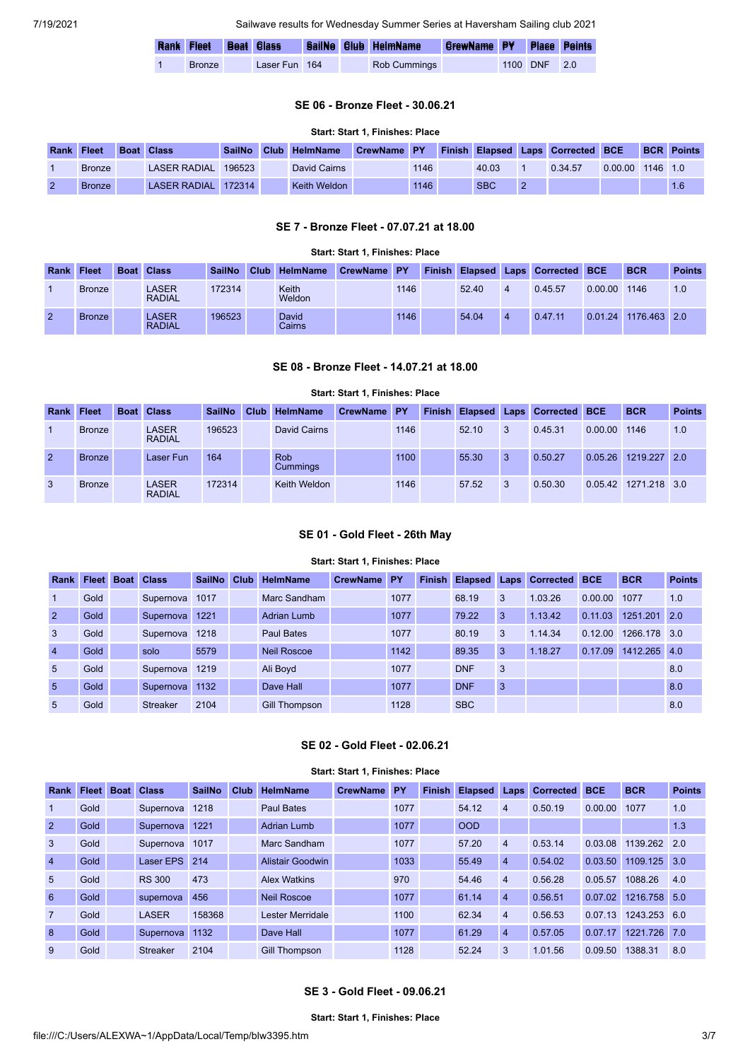|               |               |  | Rank Fleet Boat Class SailNo Club HelmName | <b>CrewName PY Place Points</b> |              |  |
|---------------|---------------|--|--------------------------------------------|---------------------------------|--------------|--|
| <b>Bronze</b> | Laser Fun 164 |  | Rob Cummings                               |                                 | 1100 DNF 2.0 |  |

### **SE 06 - Bronze Fleet - 30.06.21**

### **Start: Start 1, Finishes: Place**

<span id="page-2-0"></span>

| <b>Rank</b> | <b>Fleet</b>  | <b>Boat Class</b>   | <b>SailNo</b> | Club HelmName | <b>CrewName PY</b> |      |            | <b>Finish Elapsed Laps Corrected BCE</b> |         |            | <b>BCR Points</b> |
|-------------|---------------|---------------------|---------------|---------------|--------------------|------|------------|------------------------------------------|---------|------------|-------------------|
|             | <b>Bronze</b> | LASER RADIAL        | 196523        | David Cairns  |                    | 1146 | 40.03      | 0.34.57                                  | 0.00.00 | $1146$ 1.0 |                   |
|             | Bronze        | LASER RADIAL 172314 |               | Keith Weldon  |                    | 1146 | <b>SBC</b> |                                          |         |            |                   |

## **SE 7 - Bronze Fleet - 07.07.21 at 18.00**

<span id="page-2-1"></span>

|                |               |                               |               |             |                        | <b>Start: Start 1. Finishes: Place</b> |      |       |                |                                   |         |                      |               |
|----------------|---------------|-------------------------------|---------------|-------------|------------------------|----------------------------------------|------|-------|----------------|-----------------------------------|---------|----------------------|---------------|
| Rank Fleet     |               | <b>Boat Class</b>             | <b>SailNo</b> | <b>Club</b> | <b>HelmName</b>        | CrewName PY                            |      |       |                | Finish Elapsed Laps Corrected BCE |         | <b>BCR</b>           | <b>Points</b> |
|                | <b>Bronze</b> | <b>LASER</b><br><b>RADIAL</b> | 172314        |             | Keith<br>Weldon        |                                        | 1146 | 52.40 | $\overline{4}$ | 0.45.57                           | 0.00.00 | 1146                 | 1.0           |
| $\overline{2}$ | <b>Bronze</b> | <b>LASER</b><br><b>RADIAL</b> | 196523        |             | <b>David</b><br>Cairns |                                        | 1146 | 54.04 | $\overline{4}$ | 0.47.11                           |         | 0.01.24 1176.463 2.0 |               |

### **SE 08 - Bronze Fleet - 14.07.21 at 18.00**

#### <span id="page-2-2"></span>**Start: Start 1, Finishes: Place Rank Fleet Boat Class SailNo Club HelmName CrewName PY Finish Elapsed Laps Corrected BCE BCR Points** 1 Bronze LASER RADIAL 196523 David Cairns 1146 52.10 3 0.45.31 0.00.00 1146 1.0 2 Bronze Laser Fun 164 Rob **Cummings** 1100 55.30 3 0.50.27 0.05.26 1219.227 2.0 3 Bronze LASER RADIAL 172314 Keith Weldon 1146 57.52 3 0.50.30 0.05.42 1271.218 3.0

## **SE 01 - Gold Fleet - 26th May**

#### **Start: Start 1, Finishes: Place**

<span id="page-2-3"></span>

| Rank            | <b>Fleet</b> | <b>Boat</b> | <b>Class</b>    | <b>SailNo</b> | Club | <b>HelmName</b>    | <b>CrewName</b> | <b>PY</b> | <b>Finish</b> | <b>Elapsed</b> |   | <b>Laps Corrected</b> | <b>BCE</b> | <b>BCR</b>   | <b>Points</b> |
|-----------------|--------------|-------------|-----------------|---------------|------|--------------------|-----------------|-----------|---------------|----------------|---|-----------------------|------------|--------------|---------------|
|                 | Gold         |             | Supernova       | 1017          |      | Marc Sandham       |                 | 1077      |               | 68.19          | 3 | 1.03.26               | 0.00.00    | 1077         | 1.0           |
| 2               | Gold         |             | Supernova       | 1221          |      | <b>Adrian Lumb</b> |                 | 1077      |               | 79.22          | 3 | 1.13.42               | 0.11.03    | 1251.201     | 2.0           |
| 3               | Gold         |             | Supernova       | 1218          |      | <b>Paul Bates</b>  |                 | 1077      |               | 80.19          | 3 | 1.14.34               | 0.12.00    | 1266.178 3.0 |               |
| $\overline{4}$  | Gold         |             | solo            | 5579          |      | Neil Roscoe        |                 | 1142      |               | 89.35          | 3 | 1.18.27               | 0.17.09    | 1412.265     | 4.0           |
| $5\overline{5}$ | Gold         |             | Supernova       | 1219          |      | Ali Boyd           |                 | 1077      |               | <b>DNF</b>     | 3 |                       |            |              | 8.0           |
| -5              | Gold         |             | Supernova       | 1132          |      | Dave Hall          |                 | 1077      |               | <b>DNF</b>     | 3 |                       |            |              | 8.0           |
| 5               | Gold         |             | <b>Streaker</b> | 2104          |      | Gill Thompson      |                 | 1128      |               | <b>SBC</b>     |   |                       |            |              | 8.0           |

## **SE 02 - Gold Fleet - 02.06.21**

#### **Start: Start 1, Finishes: Place**

<span id="page-2-5"></span><span id="page-2-4"></span>

| <b>Rank</b>    | <b>Fleet</b> | <b>Boat</b> | <b>Class</b>    | <b>SailNo</b> | <b>Club</b> | HelmName            | <b>CrewName</b> | <b>PY</b> | <b>Finish</b> | <b>Elapsed</b> | <b>Laps</b>    | <b>Corrected BCE</b> |         | <b>BCR</b>   | <b>Points</b> |
|----------------|--------------|-------------|-----------------|---------------|-------------|---------------------|-----------------|-----------|---------------|----------------|----------------|----------------------|---------|--------------|---------------|
| $\mathbf{1}$   | Gold         |             | Supernova       | 1218          |             | <b>Paul Bates</b>   |                 | 1077      |               | 54.12          | $\overline{4}$ | 0.50.19              | 0.00.00 | 1077         | 1.0           |
| $\overline{2}$ | Gold         |             | Supernova       | 1221          |             | <b>Adrian Lumb</b>  |                 | 1077      |               | <b>OOD</b>     |                |                      |         |              | 1.3           |
| 3              | Gold         |             | Supernova       | 1017          |             | Marc Sandham        |                 | 1077      |               | 57.20          | $\overline{4}$ | 0.53.14              | 0.03.08 | 1139.262 2.0 |               |
| $\overline{4}$ | Gold         |             | Laser EPS 214   |               |             | Alistair Goodwin    |                 | 1033      |               | 55.49          | $\overline{4}$ | 0.54.02              | 0.03.50 | 1109.125 3.0 |               |
| 5              | Gold         |             | <b>RS 300</b>   | 473           |             | <b>Alex Watkins</b> |                 | 970       |               | 54.46          | $\overline{4}$ | 0.56.28              | 0.05.57 | 1088.26      | 4.0           |
| 6              | Gold         |             | supernova       | 456           |             | <b>Neil Roscoe</b>  |                 | 1077      |               | 61.14          | $\overline{4}$ | 0.56.51              | 0.07.02 | 1216.758 5.0 |               |
| $\overline{7}$ | Gold         |             | <b>LASER</b>    | 158368        |             | Lester Merridale    |                 | 1100      |               | 62.34          | $\overline{4}$ | 0.56.53              | 0.07.13 | 1243.253 6.0 |               |
| 8              | Gold         |             | Supernova       | 1132          |             | Dave Hall           |                 | 1077      |               | 61.29          | $\overline{4}$ | 0.57.05              | 0.07.17 | 1221.726 7.0 |               |
| 9              | Gold         |             | <b>Streaker</b> | 2104          |             | Gill Thompson       |                 | 1128      |               | 52.24          | 3              | 1.01.56              | 0.09.50 | 1388.31      | 8.0           |

### **SE 3 - Gold Fleet - 09.06.21**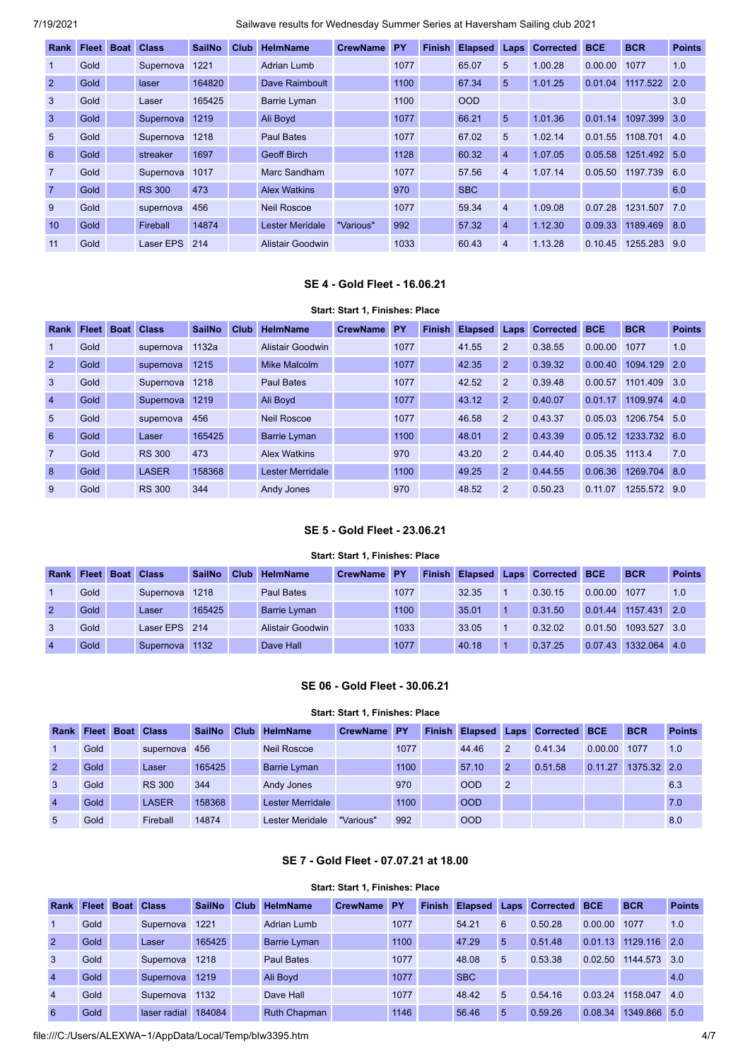| Rank            | Fleet Boat | <b>Class</b>  | <b>SailNo</b> | Club | <b>HelmName</b>        | <b>CrewName</b> | <b>PY</b> | <b>Finish</b> | <b>Elapsed</b> | Laps           | <b>Corrected</b> | <b>BCE</b> | <b>BCR</b>   | <b>Points</b> |
|-----------------|------------|---------------|---------------|------|------------------------|-----------------|-----------|---------------|----------------|----------------|------------------|------------|--------------|---------------|
| $\mathbf{1}$    | Gold       | Supernova     | 1221          |      | Adrian Lumb            |                 | 1077      |               | 65.07          | 5              | 1.00.28          | 0.00.00    | 1077         | 1.0           |
| $\overline{2}$  | Gold       | laser         | 164820        |      | Dave Raimboult         |                 | 1100      |               | 67.34          | 5              | 1.01.25          | 0.01.04    | 1117.522     | 2.0           |
| $\mathbf{3}$    | Gold       | Laser         | 165425        |      | Barrie Lyman           |                 | 1100      |               | <b>OOD</b>     |                |                  |            |              | 3.0           |
| $\mathbf{3}$    | Gold       | Supernova     | 1219          |      | Ali Boyd               |                 | 1077      |               | 66.21          | 5              | 1.01.36          | 0.01.14    | 1097.399     | 3.0           |
| 5 <sup>5</sup>  | Gold       | Supernova     | 1218          |      | Paul Bates             |                 | 1077      |               | 67.02          | 5              | 1.02.14          | 0.01.55    | 1108.701     | 4.0           |
| 6               | Gold       | streaker      | 1697          |      | <b>Geoff Birch</b>     |                 | 1128      |               | 60.32          | $\overline{4}$ | 1.07.05          | 0.05.58    | 1251.492     | 5.0           |
| $\overline{7}$  | Gold       | Supernova     | 1017          |      | Marc Sandham           |                 | 1077      |               | 57.56          | $\overline{4}$ | 1.07.14          | 0.05.50    | 1197.739 6.0 |               |
| $\overline{7}$  | Gold       | <b>RS 300</b> | 473           |      | <b>Alex Watkins</b>    |                 | 970       |               | <b>SBC</b>     |                |                  |            |              | 6.0           |
| 9               | Gold       | supernova     | 456           |      | <b>Neil Roscoe</b>     |                 | 1077      |               | 59.34          | $\overline{4}$ | 1.09.08          | 0.07.28    | 1231.507 7.0 |               |
| 10 <sup>1</sup> | Gold       | Fireball      | 14874         |      | <b>Lester Meridale</b> | "Various"       | 992       |               | 57.32          | $\overline{4}$ | 1.12.30          | 0.09.33    | 1189.469     | 8.0           |
| 11              | Gold       | Laser EPS     | 214           |      | Alistair Goodwin       |                 | 1033      |               | 60.43          | $\overline{4}$ | 1.13.28          | 0.10.45    | 1255.283     | 9.0           |

## **SE 4 - Gold Fleet - 16.06.21**

## **Start: Start 1, Finishes: Place**

<span id="page-3-0"></span>

| Rank           | <b>Fleet</b> | <b>Boat Class</b> | <b>SailNo</b> | Club | <b>HelmName</b>     | <b>CrewName</b> | <b>PY</b> | <b>Finish</b> | <b>Elapsed</b> | Laps           | <b>Corrected</b> | <b>BCE</b> | <b>BCR</b>   | <b>Points</b> |
|----------------|--------------|-------------------|---------------|------|---------------------|-----------------|-----------|---------------|----------------|----------------|------------------|------------|--------------|---------------|
|                | Gold         | supernova         | 1132a         |      | Alistair Goodwin    |                 | 1077      |               | 41.55          | 2              | 0.38.55          | 0.00.00    | 1077         | 1.0           |
| $\overline{2}$ | Gold         | supernova         | 1215          |      | Mike Malcolm        |                 | 1077      |               | 42.35          | $\overline{2}$ | 0.39.32          | 0.00.40    | 1094.129     | 2.0           |
| 3              | Gold         | Supernova         | 1218          |      | <b>Paul Bates</b>   |                 | 1077      |               | 42.52          | 2              | 0.39.48          | 0.00.57    | 1101.409     | 3.0           |
| $\overline{4}$ | Gold         | Supernova         | 1219          |      | Ali Boyd            |                 | 1077      |               | 43.12          | $\overline{2}$ | 0.40.07          | 0.01.17    | 1109.974     | 4.0           |
| -5             | Gold         | supernova         | 456           |      | <b>Neil Roscoe</b>  |                 | 1077      |               | 46.58          | 2              | 0.43.37          | 0.05.03    | 1206.754 5.0 |               |
| 6              | Gold         | Laser             | 165425        |      | <b>Barrie Lyman</b> |                 | 1100      |               | 48.01          | $\overline{2}$ | 0.43.39          | 0.05.12    | 1233.732 6.0 |               |
| $\overline{7}$ | Gold         | <b>RS 300</b>     | 473           |      | <b>Alex Watkins</b> |                 | 970       |               | 43.20          | 2              | 0.44.40          | 0.05.35    | 1113.4       | 7.0           |
| 8              | Gold         | <b>LASER</b>      | 158368        |      | Lester Merridale    |                 | 1100      |               | 49.25          | $\overline{2}$ | 0.44.55          | 0.06.36    | 1269.704 8.0 |               |
| 9              | Gold         | <b>RS 300</b>     | 344           |      | Andy Jones          |                 | 970       |               | 48.52          | $\overline{2}$ | 0.50.23          | 0.11.07    | 1255.572 9.0 |               |

## **SE 5 - Gold Fleet - 23.06.21**

### **Start: Start 1, Finishes: Place**

<span id="page-3-1"></span>

| <b>Rank</b>    |      | <b>Fleet Boat Class</b> | <b>SailNo</b> | <b>Club</b> | <b>HelmName</b>   | CrewName PY |      |       | <b>Finish Elapsed Laps Corrected BCE</b> |         | <b>BCR</b>   | <b>Points</b> |
|----------------|------|-------------------------|---------------|-------------|-------------------|-------------|------|-------|------------------------------------------|---------|--------------|---------------|
|                | Gold | Supernova               | 1218          |             | <b>Paul Bates</b> |             | 1077 | 32.35 | 0.30.15                                  | 0.00.00 | 1077         | 1.0           |
|                | Gold | Laser                   | 165425        |             | Barrie Lyman      |             | 1100 | 35.01 | 0.31.50                                  | 0.01.44 | 1157.431 2.0 |               |
|                | Gold | Laser EPS 214           |               |             | Alistair Goodwin  |             | 1033 | 33.05 | 0.32.02                                  | 0.01.50 | 1093.527 3.0 |               |
| $\overline{4}$ | Gold | Supernova l             | 1132          |             | Dave Hall         |             | 1077 | 40.18 | 0.37.25                                  | 0.07.43 | 1332.064 4.0 |               |

## **SE 06 - Gold Fleet - 30.06.21**

## **Start: Start 1, Finishes: Place**

<span id="page-3-2"></span>

| Rank           | <b>Fleet</b> | <b>Boat</b> | <b>Class</b>  | <b>SailNo</b> | Club | <b>HelmName</b>     | <b>CrewName</b> | <b>PY</b> | <b>Finish</b> |            |                | <b>Elapsed Laps Corrected BCE</b> |         | <b>BCR</b>  | <b>Points</b> |
|----------------|--------------|-------------|---------------|---------------|------|---------------------|-----------------|-----------|---------------|------------|----------------|-----------------------------------|---------|-------------|---------------|
|                | Gold         |             | supernova     | 456           |      | <b>Neil Roscoe</b>  |                 | 1077      |               | 44.46      | $\overline{2}$ | 0.41.34                           | 0.00.00 | 1077        | 1.0           |
| 2              | Gold         |             | Laser         | 165425        |      | <b>Barrie Lyman</b> |                 | 1100      |               | 57.10      | $\overline{2}$ | 0.51.58                           | 0.11.27 | 1375.32 2.0 |               |
| 3              | Gold         |             | <b>RS 300</b> | 344           |      | Andy Jones          |                 | 970       |               | <b>OOD</b> | $\overline{2}$ |                                   |         |             | 6.3           |
| $\overline{4}$ | Gold         |             | <b>LASER</b>  | 158368        |      | Lester Merridale    |                 | 1100      |               | <b>OOD</b> |                |                                   |         |             | 7.0           |
| 5              | Gold         |             | Fireball      | 14874         |      | Lester Meridale     | "Various"       | 992       |               | <b>OOD</b> |                |                                   |         |             | 8.0           |

## **SE 7 - Gold Fleet - 07.07.21 at 18.00**

### **Start: Start 1, Finishes: Place**

<span id="page-3-3"></span>

| Rank           | <b>Fleet</b> | <b>Boat</b> | <b>Class</b> | <b>SailNo</b> | <b>Club</b> | <b>HelmName</b>     | <b>CrewName</b> | <b>PY</b> | <b>Finish</b> | <b>Elapsed</b> | Laps | <b>Corrected BCE</b> |         | <b>BCR</b>   | <b>Points</b>    |
|----------------|--------------|-------------|--------------|---------------|-------------|---------------------|-----------------|-----------|---------------|----------------|------|----------------------|---------|--------------|------------------|
|                | Gold         |             | Supernova    | 1221          |             | Adrian Lumb         |                 | 1077      |               | 54.21          | 6    | 0.50.28              | 0.00.00 | 1077         | 1.0              |
| $\overline{2}$ | Gold         |             | Laser        | 165425        |             | <b>Barrie Lyman</b> |                 | 1100      |               | 47.29          | 5    | 0.51.48              | 0.01.13 | 1129.116     | $\overline{2.0}$ |
| 3              | Gold         |             | Supernova    | 1218          |             | Paul Bates          |                 | 1077      |               | 48.08          | 5    | 0.53.38              | 0.02.50 | 1144.573 3.0 |                  |
| $\overline{4}$ | Gold         |             | Supernova    | 1219          |             | Ali Boyd            |                 | 1077      |               | <b>SBC</b>     |      |                      |         |              | 4.0              |
| $\overline{4}$ | Gold         |             | Supernova    | 1132          |             | Dave Hall           |                 | 1077      |               | 48.42          | 5    | 0.54.16              | 0.03.24 | 1158.047     | 4.0              |
| 6              | Gold         |             | laser radial | 184084        |             | <b>Ruth Chapman</b> |                 | 1146      |               | 56.46          | 5    | 0.59.26              | 0.08.34 | 1349.866 5.0 |                  |

file:///C:/Users/ALEXWA~1/AppData/Local/Temp/blw3395.htm 4/7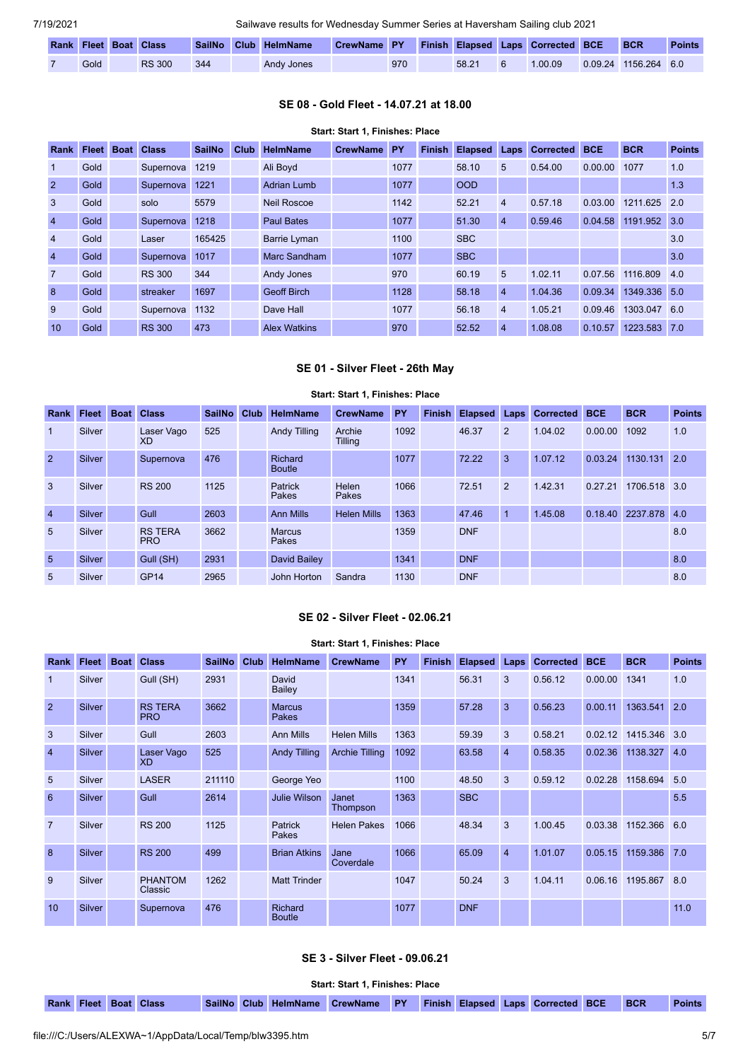|  |      | <b>Rank Fleet Boat Class</b> |     | SailNo Club HelmName | CrewName PY Finish Elapsed Laps Corrected BCE BCR |     |       |         |                      | <b>Points</b> |
|--|------|------------------------------|-----|----------------------|---------------------------------------------------|-----|-------|---------|----------------------|---------------|
|  | Gold | <b>RS 300</b>                | 344 | Andy Jones           |                                                   | 970 | 58.21 | 1.00.09 | 0.09.24 1156.264 6.0 |               |

## **SE 08 - Gold Fleet - 14.07.21 at 18.00**

#### **Start: Start 1, Finishes: Place**

<span id="page-4-0"></span>

| <b>Rank</b>    | <b>Fleet</b> | <b>Boat</b> | <b>Class</b>  | <b>SailNo</b> | Club | <b>HelmName</b>     | <b>CrewName</b> | <b>PY</b> | <b>Finish</b> | <b>Elapsed Laps</b> |                | <b>Corrected</b> | <b>BCE</b> | <b>BCR</b>   | <b>Points</b> |
|----------------|--------------|-------------|---------------|---------------|------|---------------------|-----------------|-----------|---------------|---------------------|----------------|------------------|------------|--------------|---------------|
| $\mathbf{1}$   | Gold         |             | Supernova     | 1219          |      | Ali Boyd            |                 | 1077      |               | 58.10               | 5              | 0.54.00          | 0.00.00    | 1077         | 1.0           |
| $\overline{2}$ | Gold         |             | Supernova     | 1221          |      | Adrian Lumb         |                 | 1077      |               | <b>OOD</b>          |                |                  |            |              | 1.3           |
| 3              | Gold         |             | solo          | 5579          |      | <b>Neil Roscoe</b>  |                 | 1142      |               | 52.21               | $\overline{4}$ | 0.57.18          | 0.03.00    | 1211.625     | 2.0           |
| $\overline{4}$ | Gold         |             | Supernova     | 1218          |      | <b>Paul Bates</b>   |                 | 1077      |               | 51.30               | $\overline{4}$ | 0.59.46          | 0.04.58    | 1191.952 3.0 |               |
| $\overline{4}$ | Gold         |             | Laser         | 165425        |      | <b>Barrie Lyman</b> |                 | 1100      |               | <b>SBC</b>          |                |                  |            |              | 3.0           |
| $\overline{4}$ | Gold         |             | Supernova     | 1017          |      | Marc Sandham        |                 | 1077      |               | <b>SBC</b>          |                |                  |            |              | 3.0           |
| $\overline{7}$ | Gold         |             | <b>RS 300</b> | 344           |      | Andy Jones          |                 | 970       |               | 60.19               | 5              | 1.02.11          | 0.07.56    | 1116.809     | 4.0           |
| 8              | Gold         |             | streaker      | 1697          |      | <b>Geoff Birch</b>  |                 | 1128      |               | 58.18               | $\overline{4}$ | 1.04.36          | 0.09.34    | 1349.336 5.0 |               |
| 9              | Gold         |             | Supernova     | 1132          |      | Dave Hall           |                 | 1077      |               | 56.18               | $\overline{4}$ | 1.05.21          | 0.09.46    | 1303.047 6.0 |               |
| 10             | Gold         |             | <b>RS 300</b> | 473           |      | <b>Alex Watkins</b> |                 | 970       |               | 52.52               | $\overline{4}$ | 1.08.08          | 0.10.57    | 1223.583 7.0 |               |

## **SE 01 - Silver Fleet - 26th May**

## **Start: Start 1, Finishes: Place**

<span id="page-4-1"></span>

| Rank            | Fleet         | <b>Boat</b> | <b>Class</b>                 | <b>SailNo</b> | Club | <b>HelmName</b>          | <b>CrewName</b>    | PY   | <b>Finish</b> | <b>Elapsed</b> | Laps | <b>Corrected</b> | <b>BCE</b> | <b>BCR</b>   | <b>Points</b> |
|-----------------|---------------|-------------|------------------------------|---------------|------|--------------------------|--------------------|------|---------------|----------------|------|------------------|------------|--------------|---------------|
| $\mathbf 1$     | Silver        |             | Laser Vago<br><b>XD</b>      | 525           |      | <b>Andy Tilling</b>      | Archie<br>Tilling  | 1092 |               | 46.37          | 2    | 1.04.02          | 0.00.00    | 1092         | 1.0           |
| $\overline{2}$  | Silver        |             | Supernova                    | 476           |      | Richard<br><b>Boutle</b> |                    | 1077 |               | 72.22          | 3    | 1.07.12          | 0.03.24    | 1130.131     | 2.0           |
| 3               | Silver        |             | <b>RS 200</b>                | 1125          |      | Patrick<br>Pakes         | Helen<br>Pakes     | 1066 |               | 72.51          | 2    | 1.42.31          | 0.27.21    | 1706.518 3.0 |               |
| $\overline{4}$  | <b>Silver</b> |             | Gull                         | 2603          |      | <b>Ann Mills</b>         | <b>Helen Mills</b> | 1363 |               | 47.46          |      | 1.45.08          | 0.18.40    | 2237.878 4.0 |               |
| 5               | Silver        |             | <b>RS TERA</b><br><b>PRO</b> | 3662          |      | <b>Marcus</b><br>Pakes   |                    | 1359 |               | <b>DNF</b>     |      |                  |            |              | 8.0           |
| $5\overline{5}$ | Silver        |             | Gull (SH)                    | 2931          |      | David Bailey             |                    | 1341 |               | <b>DNF</b>     |      |                  |            |              | 8.0           |
| 5               | Silver        |             | GP <sub>14</sub>             | 2965          |      | John Horton              | Sandra             | 1130 |               | <b>DNF</b>     |      |                  |            |              | 8.0           |

## **SE 02 - Silver Fleet - 02.06.21**

<span id="page-4-2"></span>

|                |               |             |                              |               |      |                                 | Start: Start 1, Finishes: Place |      |               |                |                |           |            |              |               |
|----------------|---------------|-------------|------------------------------|---------------|------|---------------------------------|---------------------------------|------|---------------|----------------|----------------|-----------|------------|--------------|---------------|
| Rank           | <b>Fleet</b>  | <b>Boat</b> | <b>Class</b>                 | <b>SailNo</b> | Club | <b>HelmName</b>                 | <b>CrewName</b>                 | PY   | <b>Finish</b> | <b>Elapsed</b> | Laps           | Corrected | <b>BCE</b> | <b>BCR</b>   | <b>Points</b> |
| $\mathbf{1}$   | Silver        |             | Gull (SH)                    | 2931          |      | David<br>Bailey                 |                                 | 1341 |               | 56.31          | 3              | 0.56.12   | 0.00.00    | 1341         | 1.0           |
| $\overline{2}$ | Silver        |             | <b>RS TERA</b><br><b>PRO</b> | 3662          |      | <b>Marcus</b><br><b>Pakes</b>   |                                 | 1359 |               | 57.28          | 3              | 0.56.23   | 0.00.11    | 1363.541     | 2.0           |
| 3              | Silver        |             | Gull                         | 2603          |      | <b>Ann Mills</b>                | <b>Helen Mills</b>              | 1363 |               | 59.39          | 3              | 0.58.21   | 0.02.12    | 1415.346 3.0 |               |
| $\overline{4}$ | Silver        |             | Laser Vago<br><b>XD</b>      | 525           |      | <b>Andy Tilling</b>             | <b>Archie Tilling</b>           | 1092 |               | 63.58          | $\overline{4}$ | 0.58.35   | 0.02.36    | 1138,327     | 4.0           |
| 5              | Silver        |             | <b>LASER</b>                 | 211110        |      | George Yeo                      |                                 | 1100 |               | 48.50          | 3              | 0.59.12   | 0.02.28    | 1158.694     | 5.0           |
| 6              | Silver        |             | Gull                         | 2614          |      | <b>Julie Wilson</b>             | Janet<br>Thompson               | 1363 |               | <b>SBC</b>     |                |           |            |              | 5.5           |
| $\overline{7}$ | Silver        |             | <b>RS 200</b>                | 1125          |      | Patrick<br>Pakes                | <b>Helen Pakes</b>              | 1066 |               | 48.34          | 3              | 1.00.45   | 0.03.38    | 1152.366     | 6.0           |
| $\overline{8}$ | Silver        |             | <b>RS 200</b>                | 499           |      | <b>Brian Atkins</b>             | Jane<br>Coverdale               | 1066 |               | 65.09          | $\overline{4}$ | 1.01.07   | 0.05.15    | 1159.386     | 7.0           |
| 9              | <b>Silver</b> |             | <b>PHANTOM</b><br>Classic    | 1262          |      | <b>Matt Trinder</b>             |                                 | 1047 |               | 50.24          | 3              | 1.04.11   | 0.06.16    | 1195.867     | 8.0           |
| 10             | Silver        |             | Supernova                    | 476           |      | <b>Richard</b><br><b>Boutle</b> |                                 | 1077 |               | <b>DNF</b>     |                |           |            |              | 11.0          |

## **SE 3 - Silver Fleet - 09.06.21**

**Start: Start 1, Finishes: Place**

<span id="page-4-3"></span>**Rank Fleet Boat Class SailNo Club HelmName CrewName PY Finish Elapsed Laps Corrected BCE BCR Points**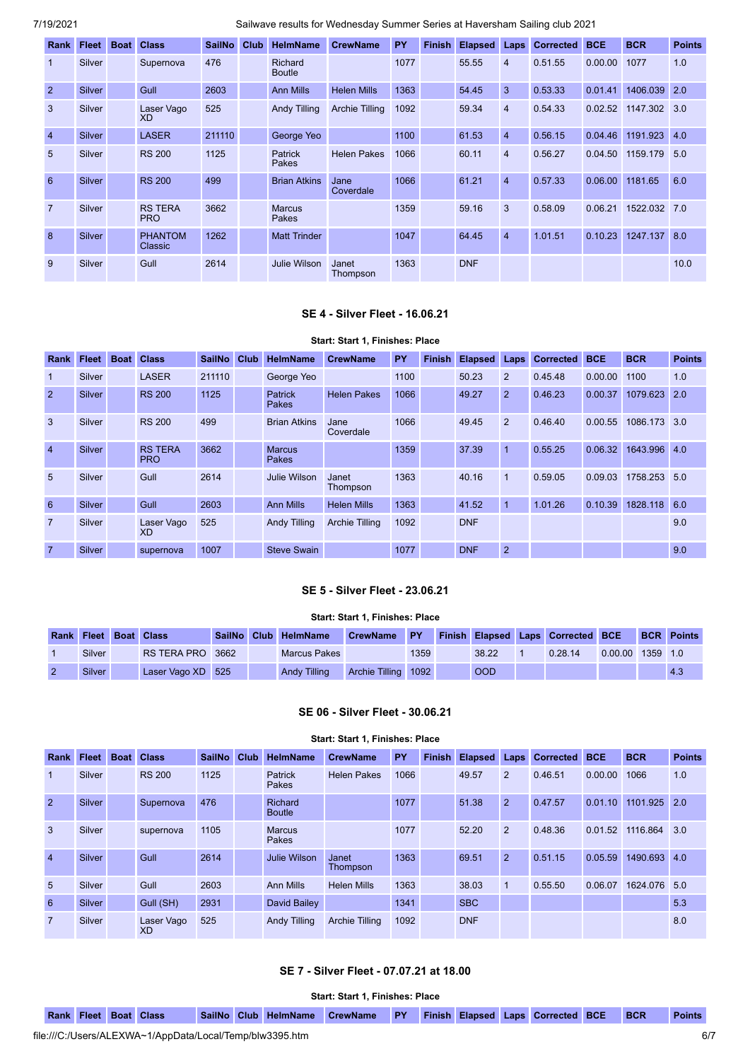| Rank           | Fleet  | <b>Boat</b> | <b>Class</b>                 | <b>SailNo</b> | Club | <b>HelmName</b>                 | <b>CrewName</b>    | PY   | <b>Finish</b> | <b>Elapsed</b> | Laps           | <b>Corrected</b> | <b>BCE</b> | <b>BCR</b>   | <b>Points</b> |
|----------------|--------|-------------|------------------------------|---------------|------|---------------------------------|--------------------|------|---------------|----------------|----------------|------------------|------------|--------------|---------------|
| -1             | Silver |             | Supernova                    | 476           |      | <b>Richard</b><br><b>Boutle</b> |                    | 1077 |               | 55.55          | $\overline{4}$ | 0.51.55          | 0.00.00    | 1077         | 1.0           |
| $\overline{2}$ | Silver |             | Gull                         | 2603          |      | <b>Ann Mills</b>                | <b>Helen Mills</b> | 1363 |               | 54.45          | 3              | 0.53.33          | 0.01.41    | 1406.039     | 2.0           |
| $\mathbf{3}$   | Silver |             | Laser Vago<br><b>XD</b>      | 525           |      | <b>Andy Tilling</b>             | Archie Tilling     | 1092 |               | 59.34          | $\overline{4}$ | 0.54.33          | 0.02.52    | 1147.302     | 3.0           |
| $\overline{4}$ | Silver |             | <b>LASER</b>                 | 211110        |      | George Yeo                      |                    | 1100 |               | 61.53          | $\overline{4}$ | 0.56.15          | 0.04.46    | 1191.923     | 4.0           |
| 5              | Silver |             | <b>RS 200</b>                | 1125          |      | <b>Patrick</b><br>Pakes         | <b>Helen Pakes</b> | 1066 |               | 60.11          | $\overline{4}$ | 0.56.27          | 0.04.50    | 1159.179     | 5.0           |
| 6              | Silver |             | <b>RS 200</b>                | 499           |      | <b>Brian Atkins</b>             | Jane<br>Coverdale  | 1066 |               | 61.21          | $\overline{4}$ | 0.57.33          | 0.06.00    | 1181.65      | 6.0           |
| $\overline{7}$ | Silver |             | <b>RS TERA</b><br><b>PRO</b> | 3662          |      | <b>Marcus</b><br>Pakes          |                    | 1359 |               | 59.16          | 3              | 0.58.09          | 0.06.21    | 1522.032 7.0 |               |
| $\mathbf{8}$   | Silver |             | <b>PHANTOM</b><br>Classic    | 1262          |      | <b>Matt Trinder</b>             |                    | 1047 |               | 64.45          | $\overline{4}$ | 1.01.51          | 0.10.23    | 1247.137     | 8.0           |
| 9              | Silver |             | Gull                         | 2614          |      | Julie Wilson                    | Janet<br>Thompson  | 1363 |               | <b>DNF</b>     |                |                  |            |              | 10.0          |

### **SE 4 - Silver Fleet - 16.06.21**

<span id="page-5-0"></span>

|                 |              |             |                              |               |             |                         | Start: Start 1, Finishes: Place |      |        |                |              |                  |            |              |               |
|-----------------|--------------|-------------|------------------------------|---------------|-------------|-------------------------|---------------------------------|------|--------|----------------|--------------|------------------|------------|--------------|---------------|
| Rank            | <b>Fleet</b> | <b>Boat</b> | <b>Class</b>                 | <b>SailNo</b> | <b>Club</b> | <b>HelmName</b>         | <b>CrewName</b>                 | PY   | Finish | <b>Elapsed</b> | Laps         | <b>Corrected</b> | <b>BCE</b> | <b>BCR</b>   | <b>Points</b> |
| $\mathbf 1$     | Silver       |             | <b>LASER</b>                 | 211110        |             | George Yeo              |                                 | 1100 |        | 50.23          | 2            | 0.45.48          | 0.00.00    | 1100         | 1.0           |
| $\overline{2}$  | Silver       |             | <b>RS 200</b>                | 1125          |             | Patrick<br><b>Pakes</b> | <b>Helen Pakes</b>              | 1066 |        | 49.27          | 2            | 0.46.23          | 0.00.37    | 1079.623     | 2.0           |
| 3               | Silver       |             | <b>RS 200</b>                | 499           |             | <b>Brian Atkins</b>     | Jane<br>Coverdale               | 1066 |        | 49.45          | 2            | 0.46.40          | 0.00.55    | 1086.173 3.0 |               |
| $\overline{4}$  | Silver       |             | <b>RS TERA</b><br><b>PRO</b> | 3662          |             | <b>Marcus</b><br>Pakes  |                                 | 1359 |        | 37.39          | 1            | 0.55.25          | 0.06.32    | 1643.996     | 4.0           |
| $5\overline{)}$ | Silver       |             | Gull                         | 2614          |             | Julie Wilson            | Janet<br>Thompson               | 1363 |        | 40.16          | $\mathbf{1}$ | 0.59.05          | 0.09.03    | 1758.253     | 5.0           |
| 6               | Silver       |             | Gull                         | 2603          |             | <b>Ann Mills</b>        | <b>Helen Mills</b>              | 1363 |        | 41.52          | $\mathbf{1}$ | 1.01.26          | 0.10.39    | 1828.118     | 6.0           |
| $\overline{7}$  | Silver       |             | Laser Vago<br>XD             | 525           |             | <b>Andy Tilling</b>     | Archie Tilling                  | 1092 |        | <b>DNF</b>     |              |                  |            |              | 9.0           |
| $\overline{7}$  | Silver       |             | supernova                    | 1007          |             | <b>Steve Swain</b>      |                                 | 1077 |        | <b>DNF</b>     | 2            |                  |            |              | 9.0           |

## **SE 5 - Silver Fleet - 23.06.21**

## **Start: Start 1, Finishes: Place**

<span id="page-5-1"></span>

| <b>Rank</b> | <b>Fleet Boat Class</b> |                   |  | SailNo Club HelmName | <b>CrewName</b>     | <b>PY</b> |            | Finish Elapsed Laps Corrected BCE |         |          | <b>BCR Points</b> |
|-------------|-------------------------|-------------------|--|----------------------|---------------------|-----------|------------|-----------------------------------|---------|----------|-------------------|
|             | Silver                  | RS TERA PRO 3662  |  | <b>Marcus Pakes</b>  |                     | 1359      | 38.22      | 0.28.14                           | 0.00.00 | 1359 1.0 |                   |
|             | <b>Silver</b>           | Laser Vago XD 525 |  | <b>Andy Tilling</b>  | Archie Tilling 1092 |           | <b>OOD</b> |                                   |         |          | 4.3               |

## **SE 06 - Silver Fleet - 30.06.21**

<span id="page-5-2"></span>

|                 | Start: Start 1, Finishes: Place |             |                         |             |  |                          |                       |      |               |                     |              |           |             |              |               |
|-----------------|---------------------------------|-------------|-------------------------|-------------|--|--------------------------|-----------------------|------|---------------|---------------------|--------------|-----------|-------------|--------------|---------------|
| Rank            | <b>Fleet</b>                    | <b>Boat</b> | <b>Class</b>            | SailNo Club |  | HelmName                 | <b>CrewName</b>       | PY   | <b>Finish</b> | <b>Elapsed Laps</b> |              | Corrected | <b>BCE</b>  | <b>BCR</b>   | <b>Points</b> |
| $\mathbf{1}$    | Silver                          |             | <b>RS 200</b>           | 1125        |  | Patrick<br>Pakes         | <b>Helen Pakes</b>    | 1066 |               | 49.57               | 2            | 0.46.51   | 0.00.00     | 1066         | 1.0           |
| $\overline{2}$  | Silver                          |             | Supernova               | 476         |  | Richard<br><b>Boutle</b> |                       | 1077 |               | 51.38               | 2            | 0.47.57   | 0.01.10     | 1101.925     | 2.0           |
| $\overline{3}$  | Silver                          |             | supernova               | 1105        |  | <b>Marcus</b><br>Pakes   |                       | 1077 |               | 52.20               | 2            | 0.48.36   | .52<br>0.01 | 1116.864     | 3.0           |
| $\overline{4}$  | Silver                          |             | Gull                    | 2614        |  | Julie Wilson             | Janet<br>Thompson     | 1363 |               | 69.51               | 2            | 0.51.15   | 0.05.59     | 1490.693 4.0 |               |
| $5\overline{)}$ | Silver                          |             | Gull                    | 2603        |  | Ann Mills                | <b>Helen Mills</b>    | 1363 |               | 38.03               | $\mathbf{1}$ | 0.55.50   | 0.06.07     | 1624.076 5.0 |               |
| 6               | Silver                          |             | Gull (SH)               | 2931        |  | David Bailey             |                       | 1341 |               | <b>SBC</b>          |              |           |             |              | 5.3           |
| $\overline{7}$  | Silver                          |             | Laser Vago<br><b>XD</b> | 525         |  | <b>Andy Tilling</b>      | <b>Archie Tilling</b> | 1092 |               | <b>DNF</b>          |              |           |             |              | 8.0           |

## **SE 7 - Silver Fleet - 07.07.21 at 18.00**

**Start: Start 1, Finishes: Place**

<span id="page-5-3"></span>**Rank Fleet Boat Class SailNo Club HelmName CrewName PY Finish Elapsed Laps Corrected BCE BCR Points**

file:///C:/Users/ALEXWA~1/AppData/Local/Temp/blw3395.htm 6/7